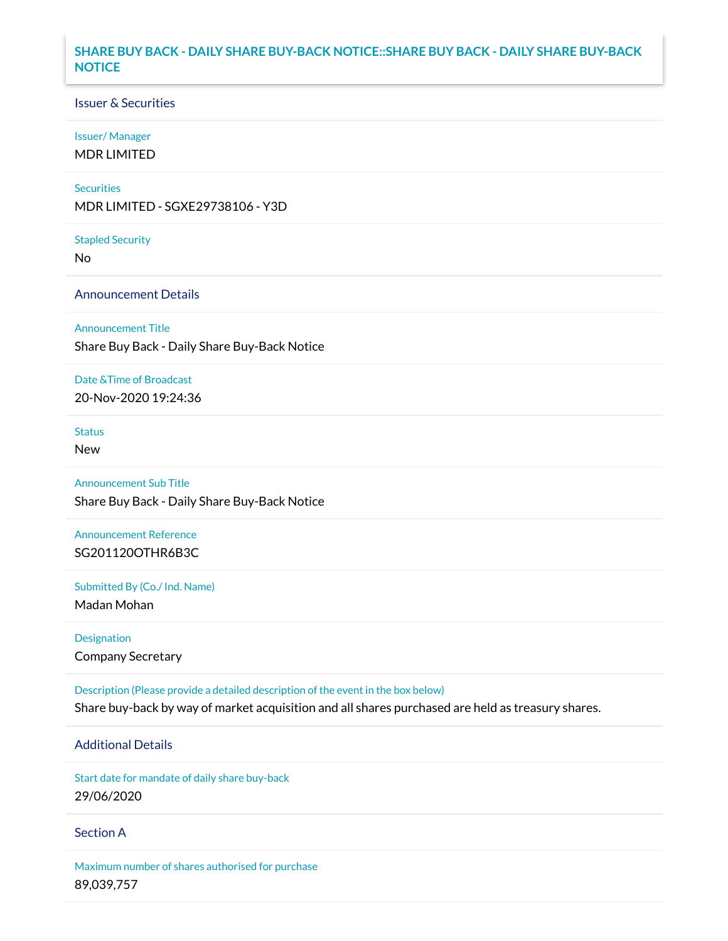## **SHARE BUY BACK - DAILY SHARE BUY-BACK NOTICE::SHARE BUY BACK - DAILY SHARE BUY-BACK NOTICE**

## Issuer & Securities

### Issuer/ Manager

MDR LIMITED

### **Securities**

MDR LIMITED - SGXE29738106 - Y3D

#### Stapled Security

No

## Announcement Details

### Announcement Title

Share Buy Back - Daily Share Buy-Back Notice

### Date &Time of Broadcast

20-Nov-2020 19:24:36

# Status

New

# Announcement Sub Title

Share Buy Back - Daily Share Buy-Back Notice

# Announcement Reference SG201120OTHR6B3C

Submitted By (Co./ Ind. Name)

Madan Mohan

Designation Company Secretary

Description (Please provide a detailed description of the event in the box below) Share buy-back by way of market acquisition and all shares purchased are held as treasury shares.

# Additional Details

Start date for mandate of daily share buy-back 29/06/2020

## Section A

Maximum number of shares authorised for purchase 89,039,757